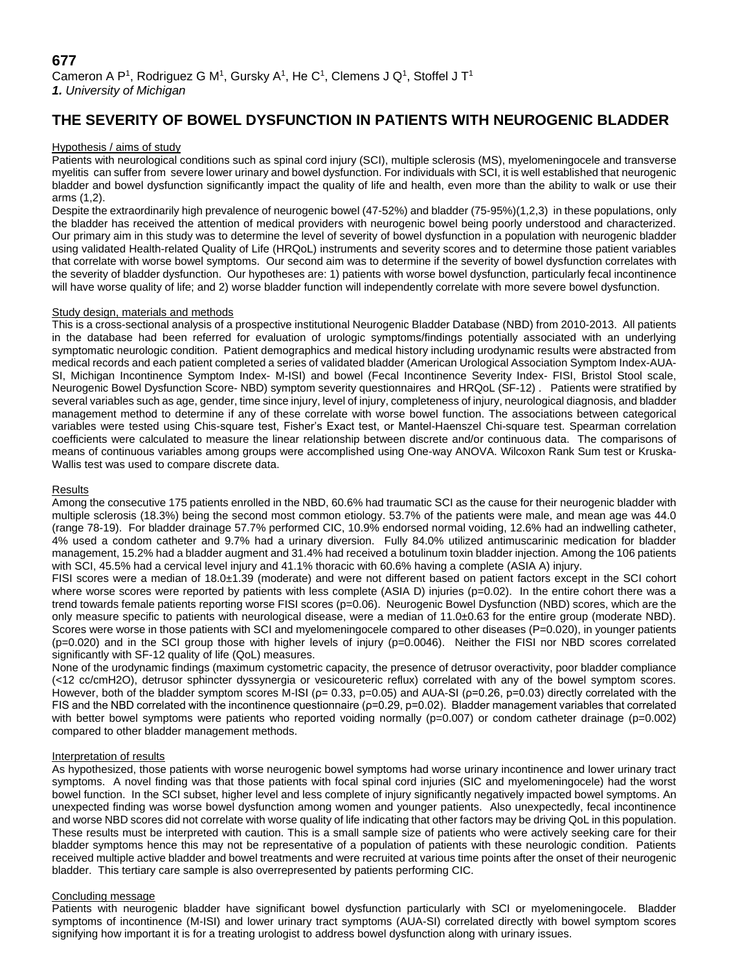# **THE SEVERITY OF BOWEL DYSFUNCTION IN PATIENTS WITH NEUROGENIC BLADDER**

# Hypothesis / aims of study

Patients with neurological conditions such as spinal cord injury (SCI), multiple sclerosis (MS), myelomeningocele and transverse myelitis can suffer from severe lower urinary and bowel dysfunction. For individuals with SCI, it is well established that neurogenic bladder and bowel dysfunction significantly impact the quality of life and health, even more than the ability to walk or use their arms (1,2).

Despite the extraordinarily high prevalence of neurogenic bowel (47-52%) and bladder (75-95%)(1,2,3) in these populations, only the bladder has received the attention of medical providers with neurogenic bowel being poorly understood and characterized. Our primary aim in this study was to determine the level of severity of bowel dysfunction in a population with neurogenic bladder using validated Health-related Quality of Life (HRQoL) instruments and severity scores and to determine those patient variables that correlate with worse bowel symptoms. Our second aim was to determine if the severity of bowel dysfunction correlates with the severity of bladder dysfunction. Our hypotheses are: 1) patients with worse bowel dysfunction, particularly fecal incontinence will have worse quality of life; and 2) worse bladder function will independently correlate with more severe bowel dysfunction.

# Study design, materials and methods

This is a cross-sectional analysis of a prospective institutional Neurogenic Bladder Database (NBD) from 2010-2013. All patients in the database had been referred for evaluation of urologic symptoms/findings potentially associated with an underlying symptomatic neurologic condition. Patient demographics and medical history including urodynamic results were abstracted from medical records and each patient completed a series of validated bladder (American Urological Association Symptom Index-AUA-SI, Michigan Incontinence Symptom Index- M-ISI) and bowel (Fecal Incontinence Severity Index- FISI, Bristol Stool scale, Neurogenic Bowel Dysfunction Score- NBD) symptom severity questionnaires and HRQoL (SF-12) . Patients were stratified by several variables such as age, gender, time since injury, level of injury, completeness of injury, neurological diagnosis, and bladder management method to determine if any of these correlate with worse bowel function. The associations between categorical variables were tested using Chis-square test, Fisher's Exact test, or Mantel-Haenszel Chi-square test. Spearman correlation coefficients were calculated to measure the linear relationship between discrete and/or continuous data. The comparisons of means of continuous variables among groups were accomplished using One-way ANOVA. Wilcoxon Rank Sum test or Kruska-Wallis test was used to compare discrete data.

# **Results**

Among the consecutive 175 patients enrolled in the NBD, 60.6% had traumatic SCI as the cause for their neurogenic bladder with multiple sclerosis (18.3%) being the second most common etiology. 53.7% of the patients were male, and mean age was 44.0 (range 78-19). For bladder drainage 57.7% performed CIC, 10.9% endorsed normal voiding, 12.6% had an indwelling catheter, 4% used a condom catheter and 9.7% had a urinary diversion. Fully 84.0% utilized antimuscarinic medication for bladder management, 15.2% had a bladder augment and 31.4% had received a botulinum toxin bladder injection. Among the 106 patients with SCI, 45.5% had a cervical level injury and 41.1% thoracic with 60.6% having a complete (ASIA A) injury.

FISI scores were a median of 18.0±1.39 (moderate) and were not different based on patient factors except in the SCI cohort where worse scores were reported by patients with less complete (ASIA D) injuries (p=0.02). In the entire cohort there was a trend towards female patients reporting worse FISI scores (p=0.06). Neurogenic Bowel Dysfunction (NBD) scores, which are the only measure specific to patients with neurological disease, were a median of 11.0±0.63 for the entire group (moderate NBD). Scores were worse in those patients with SCI and myelomeningocele compared to other diseases (P=0.020), in younger patients (p=0.020) and in the SCI group those with higher levels of injury (p=0.0046). Neither the FISI nor NBD scores correlated significantly with SF-12 quality of life (QoL) measures.

None of the urodynamic findings (maximum cystometric capacity, the presence of detrusor overactivity, poor bladder compliance (<12 cc/cmH2O), detrusor sphincter dyssynergia or vesicoureteric reflux) correlated with any of the bowel symptom scores. However, both of the bladder symptom scores M-ISI ( $p=0.33$ ,  $p=0.05$ ) and AUA-SI ( $p=0.26$ ,  $p=0.03$ ) directly correlated with the FIS and the NBD correlated with the incontinence questionnaire ( $p=0.29$ ,  $p=0.02$ ). Bladder management variables that correlated with better bowel symptoms were patients who reported voiding normally ( $p=0.007$ ) or condom catheter drainage ( $p=0.002$ ) compared to other bladder management methods.

# Interpretation of results

As hypothesized, those patients with worse neurogenic bowel symptoms had worse urinary incontinence and lower urinary tract symptoms. A novel finding was that those patients with focal spinal cord injuries (SIC and myelomeningocele) had the worst bowel function. In the SCI subset, higher level and less complete of injury significantly negatively impacted bowel symptoms. An unexpected finding was worse bowel dysfunction among women and younger patients. Also unexpectedly, fecal incontinence and worse NBD scores did not correlate with worse quality of life indicating that other factors may be driving QoL in this population. These results must be interpreted with caution. This is a small sample size of patients who were actively seeking care for their bladder symptoms hence this may not be representative of a population of patients with these neurologic condition. Patients received multiple active bladder and bowel treatments and were recruited at various time points after the onset of their neurogenic bladder. This tertiary care sample is also overrepresented by patients performing CIC.

# Concluding message

Patients with neurogenic bladder have significant bowel dysfunction particularly with SCI or myelomeningocele. Bladder symptoms of incontinence (M-ISI) and lower urinary tract symptoms (AUA-SI) correlated directly with bowel symptom scores signifying how important it is for a treating urologist to address bowel dysfunction along with urinary issues.